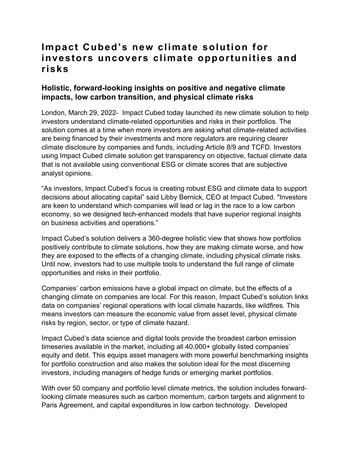## **Impact Cubed's new climate solution for investors uncovers climate opportunities and risks**

## **Holistic, forward-looking insights on positive and negative climate impacts, low carbon transition, and physical climate risks**

London, March 29, 2022- Impact Cubed today launched its new climate solution to help investors understand climate-related opportunities and risks in their portfolios. The solution comes at a time when more investors are asking what climate-related activities are being financed by their investments and more regulators are requiring clearer climate disclosure by companies and funds, including Article 8/9 and TCFD. Investors using Impact Cubed climate solution get transparency on objective, factual climate data that is not available using conventional ESG or climate scores that are subjective analyst opinions.

"As investors, Impact Cubed's focus is creating robust ESG and climate data to support decisions about allocating capital" said Libby Bernick, CEO at Impact Cubed. "Investors are keen to understand which companies will lead or lag in the race to a low carbon economy, so we designed tech-enhanced models that have superior regional insights on business activities and operations."

Impact Cubed's solution delivers a 360-degree holistic view that shows how portfolios positively contribute to climate solutions, how they are making climate worse, and how they are exposed to the effects of a changing climate, including physical climate risks. Until now, investors had to use multiple tools to understand the full range of climate opportunities and risks in their portfolio.

Companies' carbon emissions have a global impact on climate, but the effects of a changing climate on companies are local. For this reason, Impact Cubed's solution links data on companies' regional operations with local climate hazards, like wildfires. This means investors can measure the economic value from asset level, physical climate risks by region, sector, or type of climate hazard.

Impact Cubed's data science and digital tools provide the broadest carbon emission timeseries available in the market, including all 40,000+ globally listed companies' equity and debt. This equips asset managers with more powerful benchmarking insights for portfolio construction and also makes the solution ideal for the most discerning investors, including managers of hedge funds or emerging market portfolios.

With over 50 company and portfolio level climate metrics, the solution includes forwardlooking climate measures such as carbon momentum, carbon targets and alignment to Paris Agreement, and capital expenditures in low carbon technology. Developed